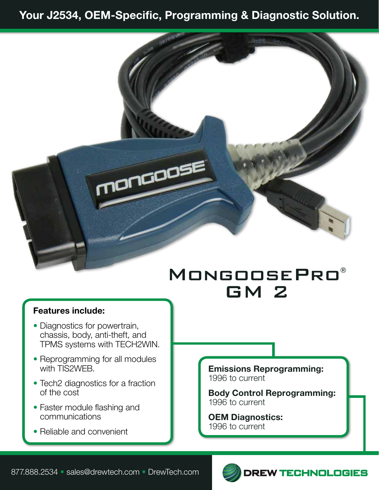## Your J2534, OEM-Specific, Programming & Diagnostic Solution.



## MongoosePro® GM 2

## Features include:

- Diagnostics for powertrain, chassis, body, anti-theft, and TPMS systems with TECH2WIN.
- Reprogramming for all modules with TIS2WEB.
- Tech2 diagnostics for a fraction of the cost
- Faster module flashing and communications
- Reliable and convenient

Emissions Reprogramming: 1996 to current

Body Control Reprogramming: 1996 to current

OEM Diagnostics: 1996 to current